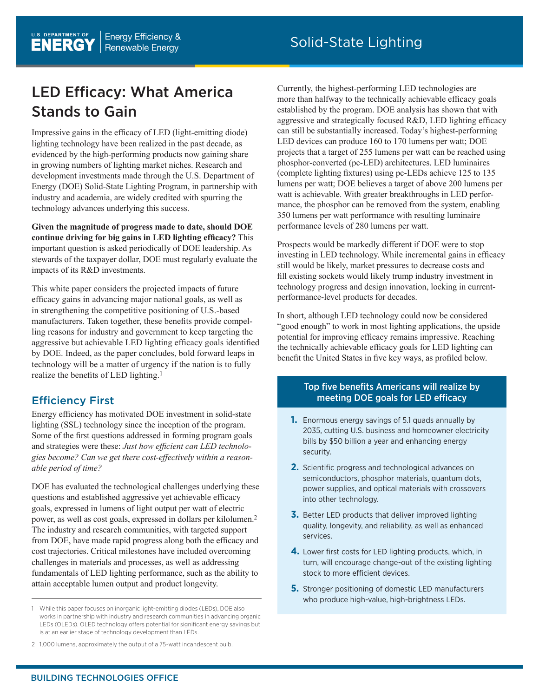# LED Efficacy: What America Stands to Gain

Impressive gains in the efficacy of LED (light-emitting diode) lighting technology have been realized in the past decade, as evidenced by the high-performing products now gaining share in growing numbers of lighting market niches. Research and development investments made through the U.S. Department of Energy (DOE) Solid-State Lighting Program, in partnership with industry and academia, are widely credited with spurring the technology advances underlying this success.

**Given the magnitude of progress made to date, should DOE continue driving for big gains in LED lighting efficacy?** This important question is asked periodically of DOE leadership. As stewards of the taxpayer dollar, DOE must regularly evaluate the impacts of its R&D investments.

This white paper considers the projected impacts of future efficacy gains in advancing major national goals, as well as in strengthening the competitive positioning of U.S.-based manufacturers. Taken together, these benefits provide compelling reasons for industry and government to keep targeting the aggressive but achievable LED lighting efficacy goals identified by DOE. Indeed, as the paper concludes, bold forward leaps in technology will be a matter of urgency if the nation is to fully realize the benefits of LED lighting.1

# Efficiency First

Energy efficiency has motivated DOE investment in solid-state lighting (SSL) technology since the inception of the program. Some of the first questions addressed in forming program goals and strategies were these: *Just how efficient can LED technologies become? Can we get there cost-effectively within a reasonable period of time?*

DOE has evaluated the technological challenges underlying these questions and established aggressive yet achievable efficacy goals, expressed in lumens of light output per watt of electric power, as well as cost goals, expressed in dollars per kilolumen.2 The industry and research communities, with targeted support from DOE, have made rapid progress along both the efficacy and cost trajectories. Critical milestones have included overcoming challenges in materials and processes, as well as addressing fundamentals of LED lighting performance, such as the ability to attain acceptable lumen output and product longevity.

Currently, the highest-performing LED technologies are more than halfway to the technically achievable efficacy goals established by the program. DOE analysis has shown that with aggressive and strategically focused R&D, LED lighting efficacy can still be substantially increased. Today's highest-performing LED devices can produce 160 to 170 lumens per watt; DOE projects that a target of 255 lumens per watt can be reached using phosphor-converted (pc-LED) architectures. LED luminaires (complete lighting fixtures) using pc-LEDs achieve 125 to 135 lumens per watt; DOE believes a target of above 200 lumens per watt is achievable. With greater breakthroughs in LED performance, the phosphor can be removed from the system, enabling 350 lumens per watt performance with resulting luminaire performance levels of 280 lumens per watt.

Prospects would be markedly different if DOE were to stop investing in LED technology. While incremental gains in efficacy still would be likely, market pressures to decrease costs and fill existing sockets would likely trump industry investment in technology progress and design innovation, locking in currentperformance-level products for decades.

In short, although LED technology could now be considered "good enough" to work in most lighting applications, the upside potential for improving efficacy remains impressive. Reaching the technically achievable efficacy goals for LED lighting can benefit the United States in five key ways, as profiled below.

# Top five benefits Americans will realize by meeting DOE goals for LED efficacy

- **1.** Enormous energy savings of 5.1 quads annually by 2035, cutting U.S. business and homeowner electricity bills by \$50 billion a year and enhancing energy security.
- **2.** Scientific progress and technological advances on semiconductors, phosphor materials, quantum dots, power supplies, and optical materials with crossovers into other technology.
- **3.** Better LED products that deliver improved lighting quality, longevity, and reliability, as well as enhanced services.
- **4.** Lower first costs for LED lighting products, which, in turn, will encourage change-out of the existing lighting stock to more efficient devices.
- **5.** Stronger positioning of domestic LED manufacturers who produce high-value, high-brightness LEDs.

<sup>1</sup> While this paper focuses on inorganic light-emitting diodes (LEDs), DOE also works in partnership with industry and research communities in advancing organic LEDs (OLEDs). OLED technology offers potential for significant energy savings but is at an earlier stage of technology development than LEDs.

<sup>2</sup> 1,000 lumens, approximately the output of a 75-watt incandescent bulb.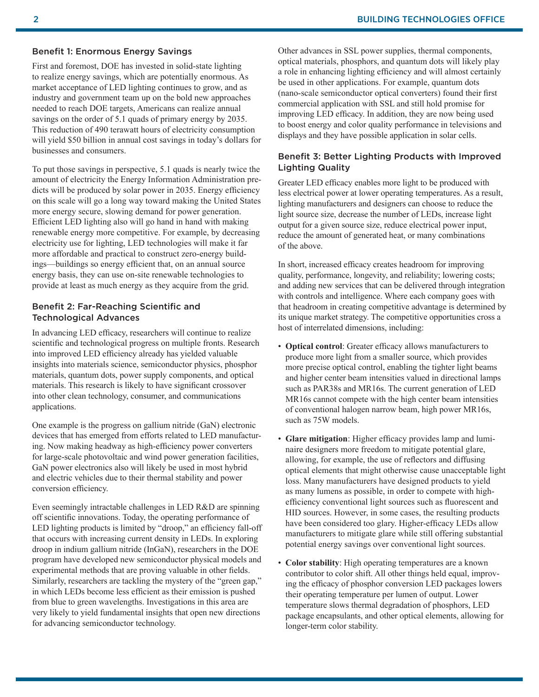#### Benefit 1: Enormous Energy Savings

First and foremost, DOE has invested in solid-state lighting to realize energy savings, which are potentially enormous. As market acceptance of LED lighting continues to grow, and as industry and government team up on the bold new approaches needed to reach DOE targets, Americans can realize annual savings on the order of 5.1 quads of primary energy by 2035. This reduction of 490 terawatt hours of electricity consumption will yield \$50 billion in annual cost savings in today's dollars for businesses and consumers.

To put those savings in perspective, 5.1 quads is nearly twice the amount of electricity the Energy Information Administration predicts will be produced by solar power in 2035. Energy efficiency on this scale will go a long way toward making the United States more energy secure, slowing demand for power generation. Efficient LED lighting also will go hand in hand with making renewable energy more competitive. For example, by decreasing electricity use for lighting, LED technologies will make it far more affordable and practical to construct zero-energy buildings—buildings so energy efficient that, on an annual source energy basis, they can use on-site renewable technologies to provide at least as much energy as they acquire from the grid.

#### Benefit 2: Far-Reaching Scientific and Technological Advances

In advancing LED efficacy, researchers will continue to realize scientific and technological progress on multiple fronts. Research into improved LED efficiency already has yielded valuable insights into materials science, semiconductor physics, phosphor materials, quantum dots, power supply components, and optical materials. This research is likely to have significant crossover into other clean technology, consumer, and communications applications.

One example is the progress on gallium nitride (GaN) electronic devices that has emerged from efforts related to LED manufacturing. Now making headway as high-efficiency power converters for large-scale photovoltaic and wind power generation facilities, GaN power electronics also will likely be used in most hybrid and electric vehicles due to their thermal stability and power conversion efficiency.

Even seemingly intractable challenges in LED R&D are spinning off scientific innovations. Today, the operating performance of LED lighting products is limited by "droop," an efficiency fall-off that occurs with increasing current density in LEDs. In exploring droop in indium gallium nitride (InGaN), researchers in the DOE program have developed new semiconductor physical models and experimental methods that are proving valuable in other fields. Similarly, researchers are tackling the mystery of the "green gap," in which LEDs become less efficient as their emission is pushed from blue to green wavelengths. Investigations in this area are very likely to yield fundamental insights that open new directions for advancing semiconductor technology.

Other advances in SSL power supplies, thermal components, optical materials, phosphors, and quantum dots will likely play a role in enhancing lighting efficiency and will almost certainly be used in other applications. For example, quantum dots (nano-scale semiconductor optical converters) found their first commercial application with SSL and still hold promise for improving LED efficacy. In addition, they are now being used to boost energy and color quality performance in televisions and displays and they have possible application in solar cells.

## Benefit 3: Better Lighting Products with Improved Lighting Quality

Greater LED efficacy enables more light to be produced with less electrical power at lower operating temperatures. As a result, lighting manufacturers and designers can choose to reduce the light source size, decrease the number of LEDs, increase light output for a given source size, reduce electrical power input, reduce the amount of generated heat, or many combinations of the above.

In short, increased efficacy creates headroom for improving quality, performance, longevity, and reliability; lowering costs; and adding new services that can be delivered through integration with controls and intelligence. Where each company goes with that headroom in creating competitive advantage is determined by its unique market strategy. The competitive opportunities cross a host of interrelated dimensions, including:

- **Optical control**: Greater efficacy allows manufacturers to produce more light from a smaller source, which provides more precise optical control, enabling the tighter light beams and higher center beam intensities valued in directional lamps such as PAR38s and MR16s. The current generation of LED MR16s cannot compete with the high center beam intensities of conventional halogen narrow beam, high power MR16s, such as 75W models.
- **Glare mitigation**: Higher efficacy provides lamp and luminaire designers more freedom to mitigate potential glare, allowing, for example, the use of reflectors and diffusing optical elements that might otherwise cause unacceptable light loss. Many manufacturers have designed products to yield as many lumens as possible, in order to compete with highefficiency conventional light sources such as fluorescent and HID sources. However, in some cases, the resulting products have been considered too glary. Higher-efficacy LEDs allow manufacturers to mitigate glare while still offering substantial potential energy savings over conventional light sources.
- **Color stability**: High operating temperatures are a known contributor to color shift. All other things held equal, improving the efficacy of phosphor conversion LED packages lowers their operating temperature per lumen of output. Lower temperature slows thermal degradation of phosphors, LED package encapsulants, and other optical elements, allowing for longer-term color stability.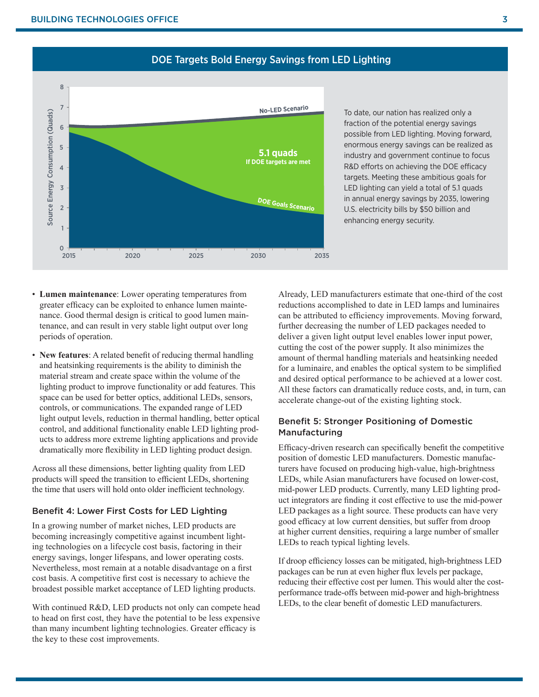

# DOE Targets Bold Energy Savings from LED Lighting

To date, our nation has realized only a fraction of the potential energy savings possible from LED lighting. Moving forward, enormous energy savings can be realized as industry and government continue to focus R&D efforts on achieving the DOE efficacy targets. Meeting these ambitious goals for LED lighting can yield a total of 5.1 quads in annual energy savings by 2035, lowering U.S. electricity bills by \$50 billion and enhancing energy security.

- **Lumen maintenance**: Lower operating temperatures from greater efficacy can be exploited to enhance lumen maintenance. Good thermal design is critical to good lumen maintenance, and can result in very stable light output over long periods of operation.
- **New features**: A related benefit of reducing thermal handling and heatsinking requirements is the ability to diminish the material stream and create space within the volume of the lighting product to improve functionality or add features. This space can be used for better optics, additional LEDs, sensors, controls, or communications. The expanded range of LED light output levels, reduction in thermal handling, better optical control, and additional functionality enable LED lighting products to address more extreme lighting applications and provide dramatically more flexibility in LED lighting product design.

Across all these dimensions, better lighting quality from LED products will speed the transition to efficient LEDs, shortening the time that users will hold onto older inefficient technology.

### Benefit 4: Lower First Costs for LED Lighting

In a growing number of market niches, LED products are becoming increasingly competitive against incumbent lighting technologies on a lifecycle cost basis, factoring in their energy savings, longer lifespans, and lower operating costs. Nevertheless, most remain at a notable disadvantage on a first cost basis. A competitive first cost is necessary to achieve the broadest possible market acceptance of LED lighting products.

With continued R&D, LED products not only can compete head to head on first cost, they have the potential to be less expensive than many incumbent lighting technologies. Greater efficacy is the key to these cost improvements.

Already, LED manufacturers estimate that one-third of the cost reductions accomplished to date in LED lamps and luminaires can be attributed to efficiency improvements. Moving forward, further decreasing the number of LED packages needed to deliver a given light output level enables lower input power, cutting the cost of the power supply. It also minimizes the amount of thermal handling materials and heatsinking needed for a luminaire, and enables the optical system to be simplified and desired optical performance to be achieved at a lower cost. All these factors can dramatically reduce costs, and, in turn, can accelerate change-out of the existing lighting stock.

## Benefit 5: Stronger Positioning of Domestic Manufacturing

Efficacy-driven research can specifically benefit the competitive position of domestic LED manufacturers. Domestic manufacturers have focused on producing high-value, high-brightness LEDs, while Asian manufacturers have focused on lower-cost, mid-power LED products. Currently, many LED lighting product integrators are finding it cost effective to use the mid-power LED packages as a light source. These products can have very good efficacy at low current densities, but suffer from droop at higher current densities, requiring a large number of smaller LEDs to reach typical lighting levels.

If droop efficiency losses can be mitigated, high-brightness LED packages can be run at even higher flux levels per package, reducing their effective cost per lumen. This would alter the costperformance trade-offs between mid-power and high-brightness LEDs, to the clear benefit of domestic LED manufacturers.